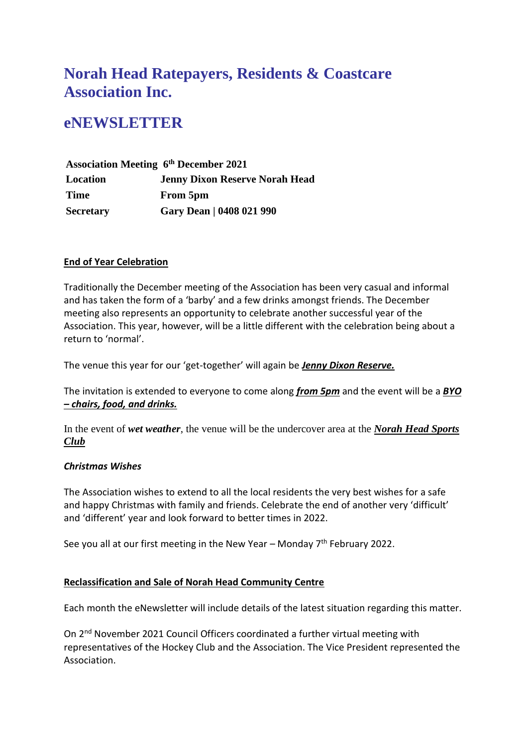# **Norah Head Ratepayers, Residents & Coastcare Association Inc.**

# **eNEWSLETTER**

**Association Meeting 6 th December 2021 Location Jenny Dixon Reserve Norah Head Time From 5pm Secretary Gary Dean | 0408 021 990**

# **End of Year Celebration**

Traditionally the December meeting of the Association has been very casual and informal and has taken the form of a 'barby' and a few drinks amongst friends. The December meeting also represents an opportunity to celebrate another successful year of the Association. This year, however, will be a little different with the celebration being about a return to 'normal'.

The venue this year for our 'get-together' will again be *Jenny Dixon Reserve.*

The invitation is extended to everyone to come along *from 5pm* and the event will be a *BYO – chairs, food, and drinks.*

In the event of *wet weather*, the venue will be the undercover area at the *Norah Head Sports Club*

# *Christmas Wishes*

The Association wishes to extend to all the local residents the very best wishes for a safe and happy Christmas with family and friends. Celebrate the end of another very 'difficult' and 'different' year and look forward to better times in 2022.

See you all at our first meeting in the New Year – Monday  $7<sup>th</sup>$  February 2022.

# **Reclassification and Sale of Norah Head Community Centre**

Each month the eNewsletter will include details of the latest situation regarding this matter.

On 2nd November 2021 Council Officers coordinated a further virtual meeting with representatives of the Hockey Club and the Association. The Vice President represented the Association.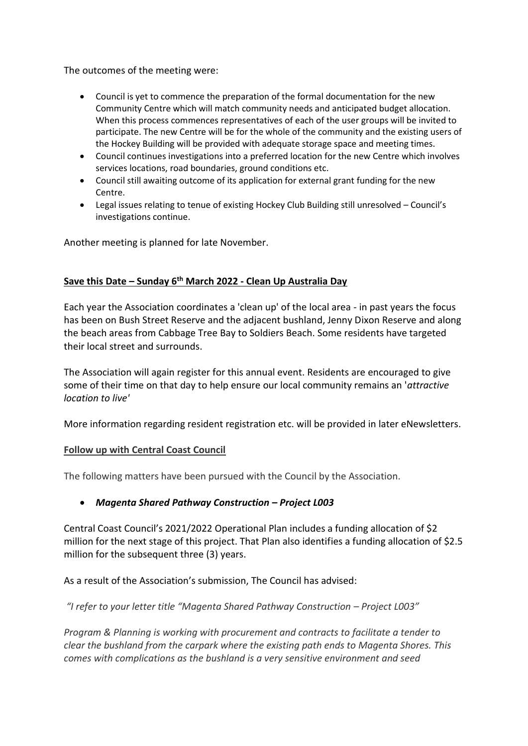The outcomes of the meeting were:

- Council is yet to commence the preparation of the formal documentation for the new Community Centre which will match community needs and anticipated budget allocation. When this process commences representatives of each of the user groups will be invited to participate. The new Centre will be for the whole of the community and the existing users of the Hockey Building will be provided with adequate storage space and meeting times.
- Council continues investigations into a preferred location for the new Centre which involves services locations, road boundaries, ground conditions etc.
- Council still awaiting outcome of its application for external grant funding for the new Centre.
- Legal issues relating to tenue of existing Hockey Club Building still unresolved Council's investigations continue.

Another meeting is planned for late November.

# **Save this Date – Sunday 6th March 2022 - Clean Up Australia Day**

Each year the Association coordinates a 'clean up' of the local area - in past years the focus has been on Bush Street Reserve and the adjacent bushland, Jenny Dixon Reserve and along the beach areas from Cabbage Tree Bay to Soldiers Beach. Some residents have targeted their local street and surrounds.

The Association will again register for this annual event. Residents are encouraged to give some of their time on that day to help ensure our local community remains an '*attractive location to live'*

More information regarding resident registration etc. will be provided in later eNewsletters.

#### **Follow up with Central Coast Council**

The following matters have been pursued with the Council by the Association.

# • *Magenta Shared Pathway Construction – Project L003*

Central Coast Council's 2021/2022 Operational Plan includes a funding allocation of \$2 million for the next stage of this project. That Plan also identifies a funding allocation of \$2.5 million for the subsequent three (3) years.

As a result of the Association's submission, The Council has advised:

*"I refer to your letter title "Magenta Shared Pathway Construction – Project L003"*

*Program & Planning is working with procurement and contracts to facilitate a tender to clear the bushland from the carpark where the existing path ends to Magenta Shores. This comes with complications as the bushland is a very sensitive environment and seed*